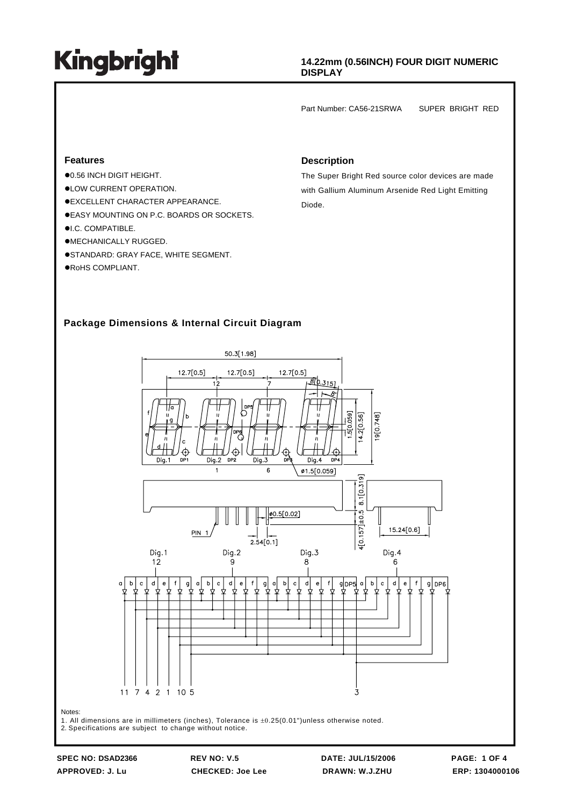### **14.22mm (0.56INCH) FOUR DIGIT NUMERIC DISPLAY**

Part Number: CA56-21SRWA SUPER BRIGHT RED

#### **Features**

- $\bullet$ 0.56 INCH DIGIT HEIGHT.
- $\bullet$  LOW CURRENT OPERATION.
- $\bullet$ **EXCELLENT CHARACTER APPEARANCE.**
- $\bullet$  **EASY MOUNTING ON P.C. BOARDS OR SOCKETS.**
- $\bullet$ I.C. COMPATIBLE.
- $\bullet$ MECHANICALLY RUGGED.
- $\bullet$ STANDARD: GRAY FACE, WHITE SEGMENT.
- $\bullet$ RoHS COMPLIANT.

#### **Description**

The Super Bright Red source color devices are made with Gallium Aluminum Arsenide Red Light Emitting Diode.

### **Package Dimensions & Internal Circuit Diagram**



2. Specifications are subject to change without notice.

**SPEC NO: DSAD2366 REV NO: V.5 DATE: JUL/15/2006 PAGE: 1 OF 4 APPROVED: J. Lu CHECKED: Joe Lee DRAWN: W.J.ZHU ERP: 1304000106**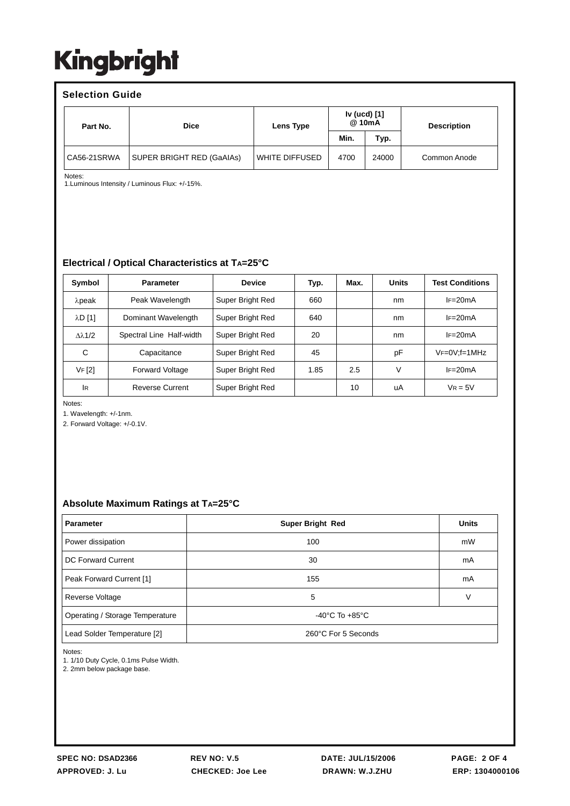### **Selection Guide**

| Part No.    | <b>Dice</b>               | Lens Type      | Iv (ucd) [1]<br>@ 10mA |       | <b>Description</b> |  |
|-------------|---------------------------|----------------|------------------------|-------|--------------------|--|
|             |                           |                | Min.                   | Typ.  |                    |  |
| CA56-21SRWA | SUPER BRIGHT RED (GaAIAs) | WHITE DIFFUSED | 4700                   | 24000 | Common Anode       |  |

Notes:

1.Luminous Intensity / Luminous Flux: +/-15%.

### **Electrical / Optical Characteristics at TA=25°C**

| Symbol               | <b>Parameter</b>         | <b>Device</b>    | Typ. | Max. | <b>Units</b> | <b>Test Conditions</b> |
|----------------------|--------------------------|------------------|------|------|--------------|------------------------|
| $λ$ peak             | Peak Wavelength          | Super Bright Red | 660  |      | nm           | $IF = 20mA$            |
| $\lambda$ D $[1]$    | Dominant Wavelength      | Super Bright Red | 640  |      | nm           | $IF=20mA$              |
| $\lambda\lambda$ 1/2 | Spectral Line Half-width | Super Bright Red | 20   |      | nm           | $I = 20mA$             |
| C                    | Capacitance              | Super Bright Red | 45   |      | рF           | $VF=0V$ ; f=1MHz       |
| VF[2]                | <b>Forward Voltage</b>   | Super Bright Red | 1.85 | 2.5  | V            | $IF=20mA$              |
| <b>IR</b>            | <b>Reverse Current</b>   | Super Bright Red |      | 10   | uA           | $V_R = 5V$             |

Notes:

1. Wavelength: +/-1nm.

2. Forward Voltage: +/-0.1V.

### **Absolute Maximum Ratings at TA=25°C**

| <b>Parameter</b>                | <b>Super Bright Red</b>            | <b>Units</b> |
|---------------------------------|------------------------------------|--------------|
| Power dissipation               | 100                                | mW           |
| DC Forward Current              | 30                                 | mA           |
| Peak Forward Current [1]        | 155                                | mA           |
| Reverse Voltage                 | 5                                  | v            |
| Operating / Storage Temperature | $-40^{\circ}$ C To $+85^{\circ}$ C |              |
| Lead Solder Temperature [2]     | 260°C For 5 Seconds                |              |

Notes:

1. 1/10 Duty Cycle, 0.1ms Pulse Width.

2. 2mm below package base.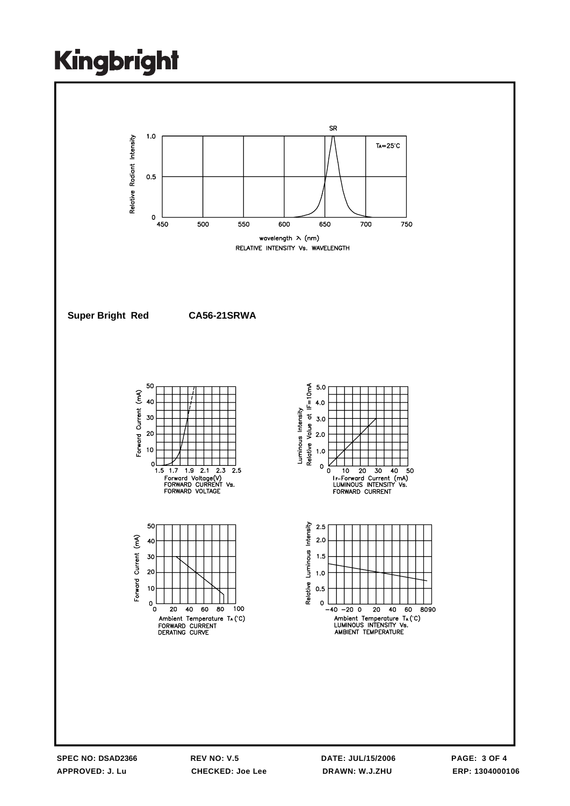